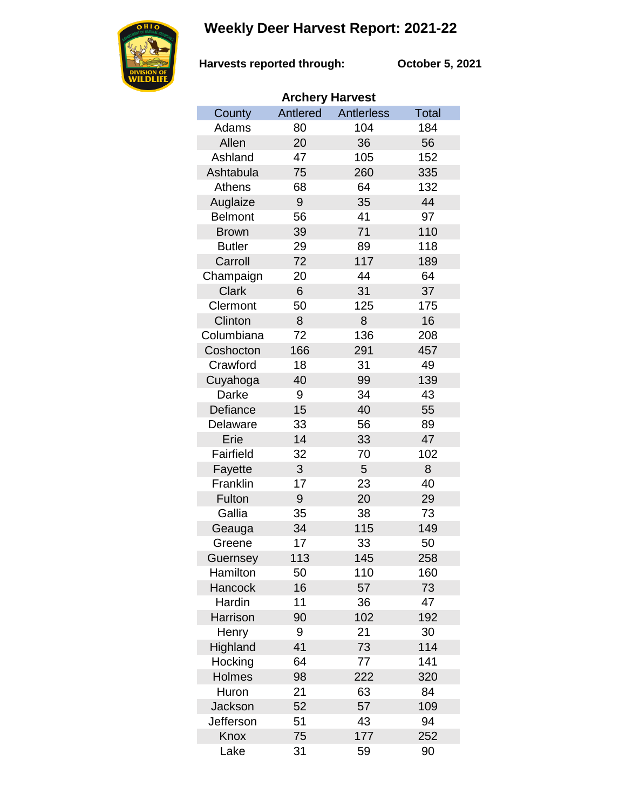## **Weekly Deer Harvest Report: 2021-22**



**Harvests reported through: October 5, 2021**

| <b>Archery Harvest</b> |          |            |       |  |  |  |  |
|------------------------|----------|------------|-------|--|--|--|--|
| County                 | Antlered | Antlerless | Total |  |  |  |  |
| Adams                  | 80       | 104        | 184   |  |  |  |  |
| Allen                  | 20       | 36         | 56    |  |  |  |  |
| Ashland                | 47       | 105        | 152   |  |  |  |  |
| Ashtabula              | 75       | 260        | 335   |  |  |  |  |
| Athens                 | 68       | 64         | 132   |  |  |  |  |
| Auglaize               | 9        | 35         | 44    |  |  |  |  |
| <b>Belmont</b>         | 56       | 41         | 97    |  |  |  |  |
| <b>Brown</b>           | 39       | 71         | 110   |  |  |  |  |
| <b>Butler</b>          | 29       | 89         | 118   |  |  |  |  |
| Carroll                | 72       | 117        | 189   |  |  |  |  |
| Champaign              | 20       | 44         | 64    |  |  |  |  |
| <b>Clark</b>           | 6        | 31         | 37    |  |  |  |  |
| Clermont               | 50       | 125        | 175   |  |  |  |  |
| Clinton                | 8        | 8          | 16    |  |  |  |  |
| Columbiana             | 72       | 136        | 208   |  |  |  |  |
| Coshocton              | 166      | 291        | 457   |  |  |  |  |
| Crawford               | 18       | 31         | 49    |  |  |  |  |
| Cuyahoga               | 40       | 99         | 139   |  |  |  |  |
| Darke                  | 9        | 34         | 43    |  |  |  |  |
| Defiance               | 15       | 40         | 55    |  |  |  |  |
| Delaware               | 33       | 56         | 89    |  |  |  |  |
| Erie                   | 14       | 33         | 47    |  |  |  |  |
| Fairfield              | 32       | 70         | 102   |  |  |  |  |
| Fayette                | 3        | 5          | 8     |  |  |  |  |
| Franklin               | 17       | 23         | 40    |  |  |  |  |
| Fulton                 | 9        | 20         | 29    |  |  |  |  |
| Gallia                 | 35       | 38         | 73    |  |  |  |  |
| Geauga                 | 34       | 115        | 149   |  |  |  |  |
| Greene                 | 17       | 33         | 50    |  |  |  |  |
| Guernsey               | 113      | 145        | 258   |  |  |  |  |
| Hamilton               | 50       | 110        | 160   |  |  |  |  |
| Hancock                | 16       | 57         | 73    |  |  |  |  |
| Hardin                 | 11       | 36         | 47    |  |  |  |  |
| Harrison               | 90       | 102        | 192   |  |  |  |  |
| Henry                  | 9        | 21         | 30    |  |  |  |  |
| Highland               | 41       | 73         | 114   |  |  |  |  |
| Hocking                | 64       | 77         | 141   |  |  |  |  |
| Holmes                 | 98       | 222        | 320   |  |  |  |  |
| Huron                  | 21       | 63         | 84    |  |  |  |  |
| Jackson                | 52       | 57         | 109   |  |  |  |  |
| Jefferson              | 51       | 43         | 94    |  |  |  |  |
| Knox                   | 75       | 177        | 252   |  |  |  |  |
| Lake                   | 31       | 59         | 90    |  |  |  |  |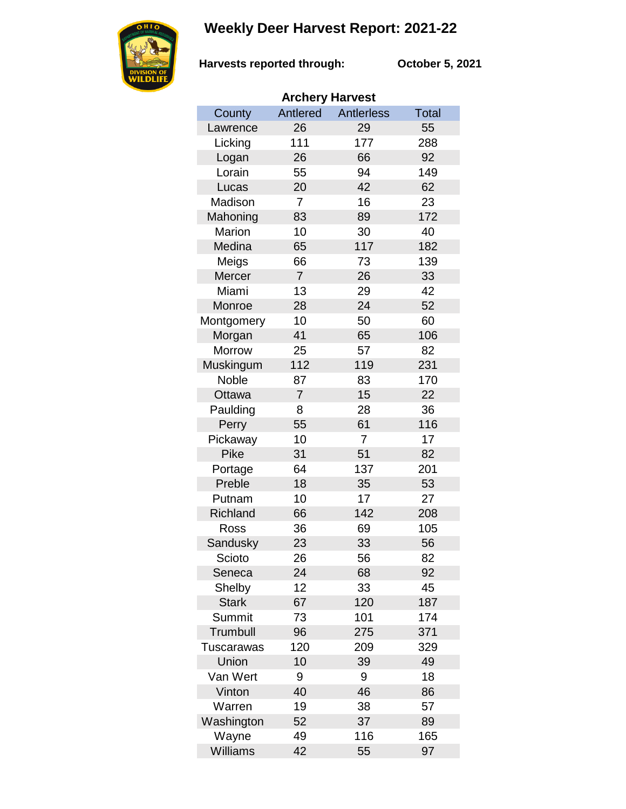## **Weekly Deer Harvest Report: 2021-22**



**Harvests reported through:** 

**October 5, 2021**

| <b>Archery Harvest</b> |                |                   |              |  |  |  |  |
|------------------------|----------------|-------------------|--------------|--|--|--|--|
| County                 | Antlered       | <b>Antlerless</b> | <b>Total</b> |  |  |  |  |
| Lawrence               | 26             | 29                | 55           |  |  |  |  |
| Licking                | 111            | 177               | 288          |  |  |  |  |
| Logan                  | 26             | 66                | 92           |  |  |  |  |
| Lorain                 | 55             | 94                | 149          |  |  |  |  |
| Lucas                  | 20             | 42                | 62           |  |  |  |  |
| Madison                | $\overline{7}$ | 16                | 23           |  |  |  |  |
| Mahoning               | 83             | 89                | 172          |  |  |  |  |
| Marion                 | 10             | 30                | 40           |  |  |  |  |
| Medina                 | 65             | 117               | 182          |  |  |  |  |
| Meigs                  | 66             | 73                | 139          |  |  |  |  |
| Mercer                 | $\overline{7}$ | 26                | 33           |  |  |  |  |
| Miami                  | 13             | 29                | 42           |  |  |  |  |
| Monroe                 | 28             | 24                | 52           |  |  |  |  |
| Montgomery             | 10             | 50                | 60           |  |  |  |  |
| Morgan                 | 41             | 65                | 106          |  |  |  |  |
| Morrow                 | 25             | 57                | 82           |  |  |  |  |
| Muskingum              | 112            | 119               | 231          |  |  |  |  |
| Noble                  | 87             | 83                | 170          |  |  |  |  |
| Ottawa                 | $\overline{7}$ | 15                | 22           |  |  |  |  |
| Paulding               | 8              | 28                | 36           |  |  |  |  |
| Perry                  | 55             | 61                | 116          |  |  |  |  |
| Pickaway               | 10             | $\overline{7}$    | 17           |  |  |  |  |
| Pike                   | 31             | 51                | 82           |  |  |  |  |
| Portage                | 64             | 137               | 201          |  |  |  |  |
| Preble                 | 18             | 35                | 53           |  |  |  |  |
| Putnam                 | 10             | 17                | 27           |  |  |  |  |
| <b>Richland</b>        | 66             | 142               | 208          |  |  |  |  |
| Ross                   | 36             | 69                | 105          |  |  |  |  |
| Sandusky               | 23             | 33                | 56           |  |  |  |  |
| Scioto                 | 26             | 56                | 82           |  |  |  |  |
| Seneca                 | 24             | 68                | 92           |  |  |  |  |
| Shelby                 | 12             | 33                | 45           |  |  |  |  |
| <b>Stark</b>           | 67             | 120               | 187          |  |  |  |  |
| Summit                 | 73             | 101               | 174          |  |  |  |  |
| Trumbull               | 96             | 275               | 371          |  |  |  |  |
| Tuscarawas             | 120            | 209               | 329          |  |  |  |  |
| Union                  | 10             | 39                | 49           |  |  |  |  |
| Van Wert               | 9              | 9                 | 18           |  |  |  |  |
| Vinton                 | 40             | 46                | 86           |  |  |  |  |
| Warren                 | 19             | 38                | 57           |  |  |  |  |
| Washington             | 52             | 37                | 89           |  |  |  |  |
| Wayne                  | 49             | 116               | 165          |  |  |  |  |
| Williams               | 42             | 55                | 97           |  |  |  |  |